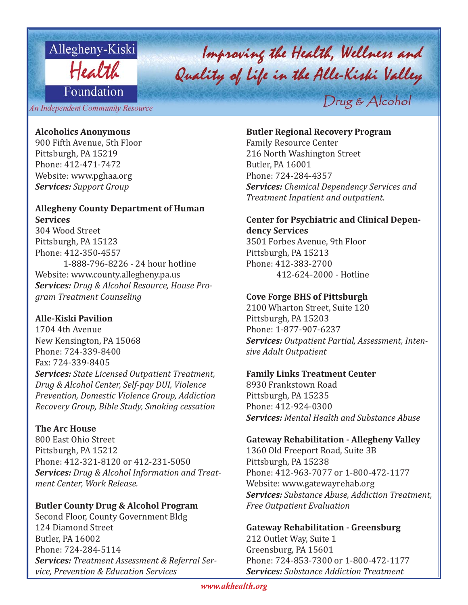

# Improving the Health, Wellness and<br>Quality of life in the Alle-Kiski Valley Drug & Alcohol

An Independent Community Resource

## **Alcoholics Anonymous**

900 Fifth Avenue, 5th Floor Pittsburgh, PA 15219 Phone: 412-471-7472 Website: www.pghaa.org *Services: Support Group*

# **Allegheny County Department of Human Services**

304 Wood Street Pittsburgh, PA 15123 Phone: 412-350-4557 1-888-796-8226 - 24 hour hotline Website: www.county.allegheny.pa.us *Services: Drug & Alcohol Resource, House Program Treatment Counseling*

# **Alle-Kiski Pavilion**

1704 4th Avenue New Kensington, PA 15068 Phone: 724-339-8400 Fax: 724-339-8405 *Services: State Licensed Outpatient Treatment, Drug & Alcohol Center, Self-pay DUI, Violence Prevention, Domestic Violence Group, Addiction Recovery Group, Bible Study, Smoking cessation*

# **The Arc House**

800 East Ohio Street Pittsburgh, PA 15212 Phone: 412-321-8120 or 412-231-5050 *Services: Drug & Alcohol Information and Treatment Center, Work Release.*

# **Butler County Drug & Alcohol Program**

Second Floor, County Government Bldg 124 Diamond Street Butler, PA 16002 Phone: 724-284-5114 *Services: Treatment Assessment & Referral Service, Prevention & Education Services*

## **Butler Regional Recovery Program**

Family Resource Center 216 North Washington Street Butler, PA 16001 Phone: 724-284-4357 *Services: Chemical Dependency Services and Treatment Inpatient and outpatient.*

# **Center for Psychiatric and Clinical Dependency Services**

3501 Forbes Avenue, 9th Floor Pittsburgh, PA 15213 Phone: 412-383-2700 412-624-2000 - Hotline

# **Cove Forge BHS of Pittsburgh**

2100 Wharton Street, Suite 120 Pittsburgh, PA 15203 Phone: 1-877-907-6237 *Services: Outpatient Partial, Assessment, Intensive Adult Outpatient*

# **Family Links Treatment Center**

8930 Frankstown Road Pittsburgh, PA 15235 Phone: 412-924-0300 *Services: Mental Health and Substance Abuse* 

#### **Gateway Rehabilitation - Allegheny Valley**

1360 Old Freeport Road, Suite 3B Pittsburgh, PA 15238 Phone: 412-963-7077 or 1-800-472-1177 Website: www.gatewayrehab.org *Services: Substance Abuse, Addiction Treatment, Free Outpatient Evaluation*

**Gateway Rehabilitation - Greensburg** 212 Outlet Way, Suite 1 Greensburg, PA 15601 Phone: 724-853-7300 or 1-800-472-1177 *Services: Substance Addiction Treatment*